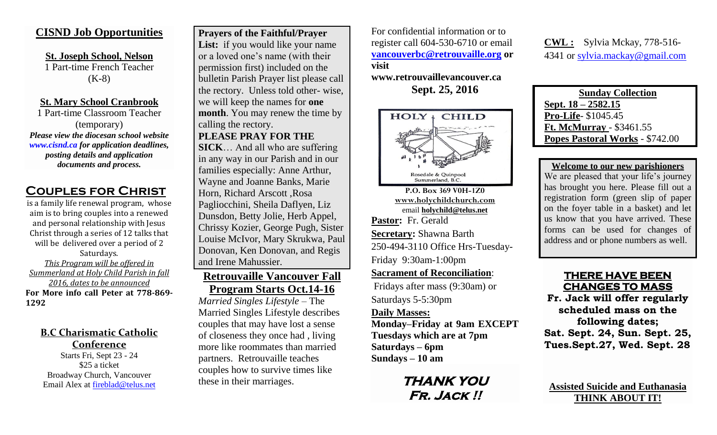## **CISND Job Opportunities**

**St. Joseph School, Nelson** 1 Part-time French Teacher (K-8)

**St. Mary School Cranbrook** 1 Part-time Classroom Teacher (temporary) *Please view the diocesan school website [www.cisnd.ca](http://www.cisnd.ca/) for application deadlines,* 

> *posting details and application documents and process.*

## **Couples for Christ**

is a family life renewal program, whose aim is to bring couples into a renewed and personal relationship with Jesus Christ through a series of 12 talks that will be delivered over a period of 2 Saturdays. *This Program will be offered in Summerland at Holy Child Parish in fall 2016, dates to be announced*  **For More info call Peter at 778-869- 1292**

**B.C Charismatic Catholic Conference** Starts Fri, Sept 23 - 24 \$25 a ticket Broadway Church, Vancouver Email Alex at [fireblad@telus.net](mailto:fireblad@telus.net)

**Prayers of the Faithful/Prayer**  List: if you would like your name or a loved one's name (with their permission first) included on the bulletin Parish Prayer list please call the rectory. Unless told other- wise, we will keep the names for **one month**. You may renew the time by calling the rectory. **PLEASE PRAY FOR THE** 

**SICK**… And all who are suffering in any way in our Parish and in our families especially: Anne Arthur, Wayne and Joanne Banks, Marie Horn, Richard Arscott ,Rosa Pagliocchini, Sheila Daflyen, Liz Dunsdon, Betty Jolie, Herb Appel, Chrissy Kozier, George Pugh, Sister Louise McIvor, Mary Skrukwa, Paul Donovan, Ken Donovan, and Regis and Irene Mahussier.

## **Retrouvaille Vancouver Fall Program Starts Oct.14-16**

*Married Singles Lifestyle* – The Married Singles Lifestyle describes couples that may have lost a sense of closeness they once had , living more like roommates than married partners. Retrouvaille teaches couples how to survive times like these in their marriages.

For confidential information or to register call 604-530-6710 or email **[vancouverbc@retrouvaille.org](mailto:vancouverbc@retrouvaille.org) or visit** 

**www.retrouvaillevancouver.ca Sept. 25, 2016**



**P.O. Box 369 V0H-1Z0 [www.holychildchurch.com](http://www.holychildchurch.com/)** email **holychild@telus.net Pastor:** Fr. Gerald **Secretary:** Shawna Barth 250-494-3110 Office Hrs-Tuesday-Friday 9:30am-1:00pm

#### **Sacrament of Reconciliation**:

Fridays after mass (9:30am) or Saturdays 5-5:30pm

#### **Daily Masses:**

**Monday–Friday at 9am EXCEPT Tuesdays which are at 7pm Saturdays – 6pm Sundays – 10 am**

> **THANK YOU Fr. Jack !!**

**CWL :** Sylvia Mckay, 778-516- 4341 or [sylvia.mackay@gmail.com](mailto:sylvia.mackay@gmail.com)

**Sunday Collection Sept. 18 – 2582.15 Pro-Life**- \$1045.45 **Ft. McMurray** - \$3461.55 **Popes Pastoral Works** - \$742.00

**Welcome to our new parishioners**

We are pleased that your life's journey has brought you here. Please fill out a registration form (green slip of paper on the foyer table in a basket) and let us know that you have arrived. These forms can be used for changes of address and or phone numbers as well.

## **THERE HAVE BEEN CHANGES TO MASS**

**Fr. Jack will offer regularly scheduled mass on the following dates; Sat. Sept. 24, Sun. Sept. 25, Tues.Sept.27, Wed. Sept. 28**

**Assisted Suicide and Euthanasia THINK ABOUT IT!**